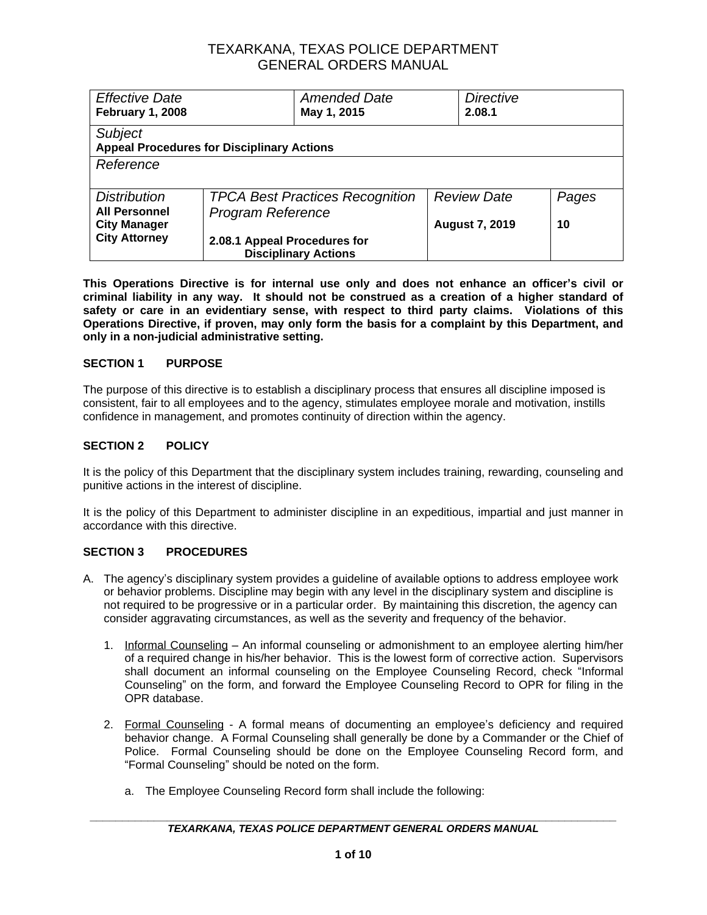| <b>Effective Date</b><br><b>February 1, 2008</b>                    |                                                                    | <b>Amended Date</b><br>May 1, 2015 | <b>Directive</b><br>2.08.1 |       |
|---------------------------------------------------------------------|--------------------------------------------------------------------|------------------------------------|----------------------------|-------|
| <b>Subject</b><br><b>Appeal Procedures for Disciplinary Actions</b> |                                                                    |                                    |                            |       |
| Reference                                                           |                                                                    |                                    |                            |       |
| <b>Distribution</b><br><b>All Personnel</b>                         | <b>TPCA Best Practices Recognition</b><br><b>Program Reference</b> |                                    | <b>Review Date</b>         | Pages |
| <b>City Manager</b><br><b>City Attorney</b>                         | 2.08.1 Appeal Procedures for                                       | <b>Disciplinary Actions</b>        | <b>August 7, 2019</b>      | 10    |

**This Operations Directive is for internal use only and does not enhance an officer's civil or criminal liability in any way. It should not be construed as a creation of a higher standard of safety or care in an evidentiary sense, with respect to third party claims. Violations of this Operations Directive, if proven, may only form the basis for a complaint by this Department, and only in a non-judicial administrative setting.**

### **SECTION 1 PURPOSE**

The purpose of this directive is to establish a disciplinary process that ensures all discipline imposed is consistent, fair to all employees and to the agency, stimulates employee morale and motivation, instills confidence in management, and promotes continuity of direction within the agency.

### **SECTION 2 POLICY**

It is the policy of this Department that the disciplinary system includes training, rewarding, counseling and punitive actions in the interest of discipline.

It is the policy of this Department to administer discipline in an expeditious, impartial and just manner in accordance with this directive.

#### **SECTION 3 PROCEDURES**

- A. The agency's disciplinary system provides a guideline of available options to address employee work or behavior problems. Discipline may begin with any level in the disciplinary system and discipline is not required to be progressive or in a particular order. By maintaining this discretion, the agency can consider aggravating circumstances, as well as the severity and frequency of the behavior.
	- 1. Informal Counseling An informal counseling or admonishment to an employee alerting him/her of a required change in his/her behavior. This is the lowest form of corrective action. Supervisors shall document an informal counseling on the Employee Counseling Record, check "Informal Counseling" on the form, and forward the Employee Counseling Record to OPR for filing in the OPR database.
	- 2. Formal Counseling A formal means of documenting an employee's deficiency and required behavior change. A Formal Counseling shall generally be done by a Commander or the Chief of Police. Formal Counseling should be done on the Employee Counseling Record form, and "Formal Counseling" should be noted on the form.
		- a. The Employee Counseling Record form shall include the following: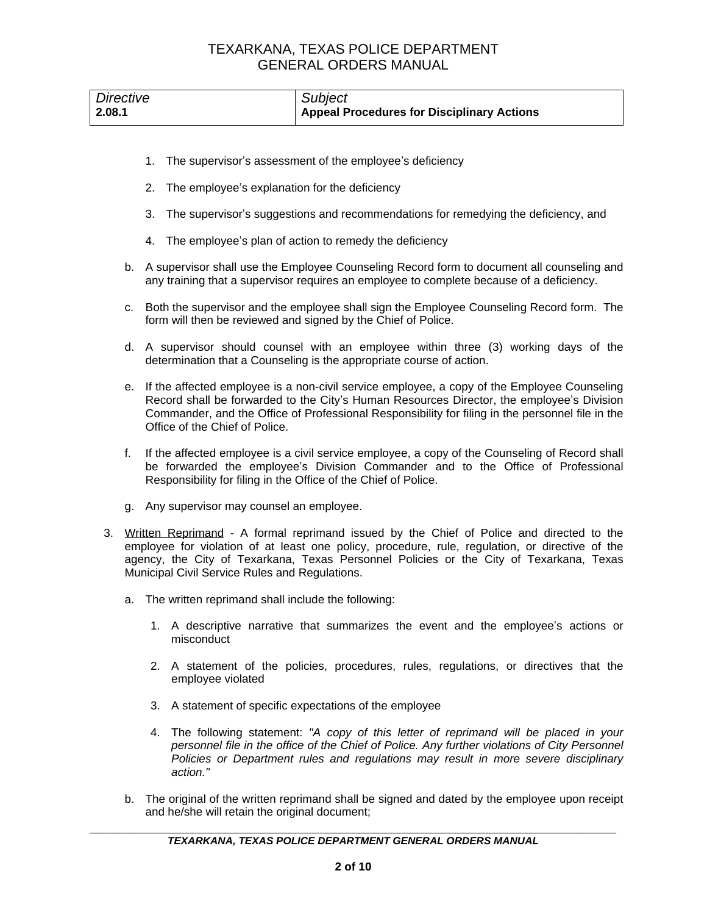| Directive | Subject                                           |
|-----------|---------------------------------------------------|
| 2.08.1    | <b>Appeal Procedures for Disciplinary Actions</b> |

- 1. The supervisor's assessment of the employee's deficiency
- 2. The employee's explanation for the deficiency
- 3. The supervisor's suggestions and recommendations for remedying the deficiency, and
- 4. The employee's plan of action to remedy the deficiency
- b. A supervisor shall use the Employee Counseling Record form to document all counseling and any training that a supervisor requires an employee to complete because of a deficiency.
- c. Both the supervisor and the employee shall sign the Employee Counseling Record form. The form will then be reviewed and signed by the Chief of Police.
- d. A supervisor should counsel with an employee within three (3) working days of the determination that a Counseling is the appropriate course of action.
- e. If the affected employee is a non-civil service employee, a copy of the Employee Counseling Record shall be forwarded to the City's Human Resources Director, the employee's Division Commander, and the Office of Professional Responsibility for filing in the personnel file in the Office of the Chief of Police.
- f. If the affected employee is a civil service employee, a copy of the Counseling of Record shall be forwarded the employee's Division Commander and to the Office of Professional Responsibility for filing in the Office of the Chief of Police.
- g. Any supervisor may counsel an employee.
- 3. Written Reprimand A formal reprimand issued by the Chief of Police and directed to the employee for violation of at least one policy, procedure, rule, regulation, or directive of the agency, the City of Texarkana, Texas Personnel Policies or the City of Texarkana, Texas Municipal Civil Service Rules and Regulations.
	- a. The written reprimand shall include the following:
		- 1. A descriptive narrative that summarizes the event and the employee's actions or misconduct
		- 2. A statement of the policies, procedures, rules, regulations, or directives that the employee violated
		- 3. A statement of specific expectations of the employee
		- 4. The following statement: *"A copy of this letter of reprimand will be placed in your personnel file in the office of the Chief of Police. Any further violations of City Personnel Policies or Department rules and regulations may result in more severe disciplinary action."*
	- b. The original of the written reprimand shall be signed and dated by the employee upon receipt and he/she will retain the original document;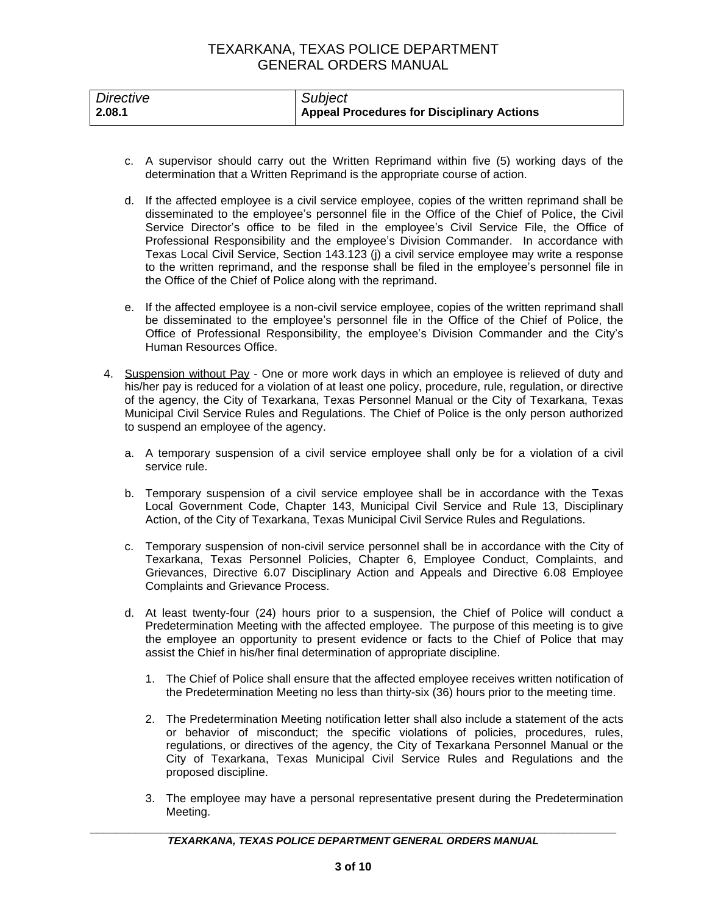| Directive | Subject                                    |
|-----------|--------------------------------------------|
| 2.08.1    | Appeal Procedures for Disciplinary Actions |

- c. A supervisor should carry out the Written Reprimand within five (5) working days of the determination that a Written Reprimand is the appropriate course of action.
- d. If the affected employee is a civil service employee, copies of the written reprimand shall be disseminated to the employee's personnel file in the Office of the Chief of Police, the Civil Service Director's office to be filed in the employee's Civil Service File, the Office of Professional Responsibility and the employee's Division Commander. In accordance with Texas Local Civil Service, Section 143.123 (j) a civil service employee may write a response to the written reprimand, and the response shall be filed in the employee's personnel file in the Office of the Chief of Police along with the reprimand.
- e. If the affected employee is a non-civil service employee, copies of the written reprimand shall be disseminated to the employee's personnel file in the Office of the Chief of Police, the Office of Professional Responsibility, the employee's Division Commander and the City's Human Resources Office.
- 4. Suspension without Pay One or more work days in which an employee is relieved of duty and his/her pay is reduced for a violation of at least one policy, procedure, rule, regulation, or directive of the agency, the City of Texarkana, Texas Personnel Manual or the City of Texarkana, Texas Municipal Civil Service Rules and Regulations. The Chief of Police is the only person authorized to suspend an employee of the agency.
	- a. A temporary suspension of a civil service employee shall only be for a violation of a civil service rule.
	- b. Temporary suspension of a civil service employee shall be in accordance with the Texas Local Government Code, Chapter 143, Municipal Civil Service and Rule 13, Disciplinary Action, of the City of Texarkana, Texas Municipal Civil Service Rules and Regulations.
	- c. Temporary suspension of non-civil service personnel shall be in accordance with the City of Texarkana, Texas Personnel Policies, Chapter 6, Employee Conduct, Complaints, and Grievances, Directive 6.07 Disciplinary Action and Appeals and Directive 6.08 Employee Complaints and Grievance Process.
	- d. At least twenty-four (24) hours prior to a suspension, the Chief of Police will conduct a Predetermination Meeting with the affected employee. The purpose of this meeting is to give the employee an opportunity to present evidence or facts to the Chief of Police that may assist the Chief in his/her final determination of appropriate discipline.
		- 1. The Chief of Police shall ensure that the affected employee receives written notification of the Predetermination Meeting no less than thirty-six (36) hours prior to the meeting time.
		- 2. The Predetermination Meeting notification letter shall also include a statement of the acts or behavior of misconduct; the specific violations of policies, procedures, rules, regulations, or directives of the agency, the City of Texarkana Personnel Manual or the City of Texarkana, Texas Municipal Civil Service Rules and Regulations and the proposed discipline.
		- 3. The employee may have a personal representative present during the Predetermination Meeting.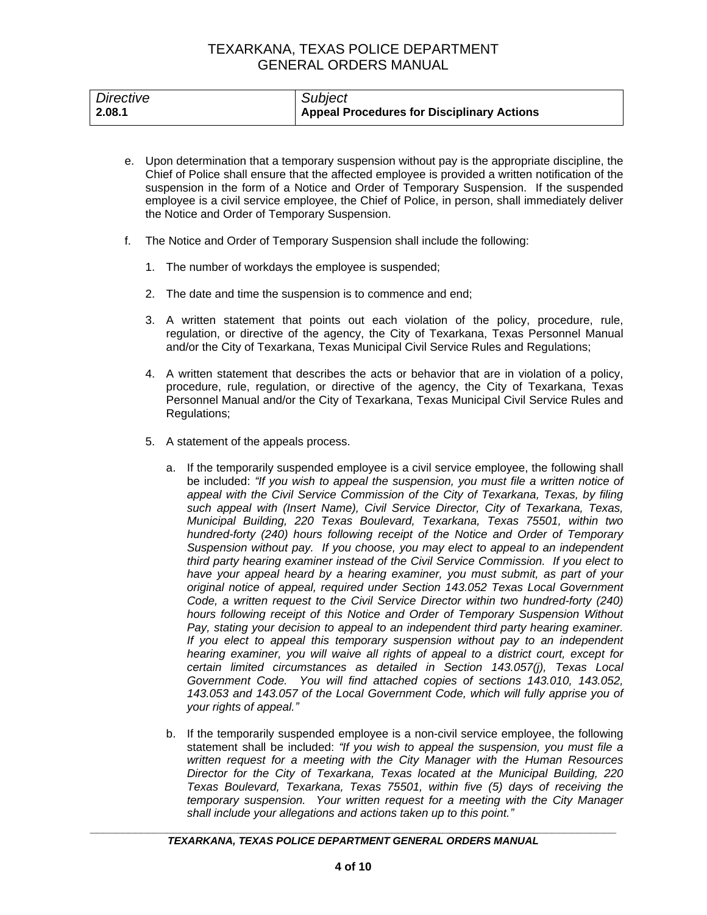| Directive | Subject                                           |
|-----------|---------------------------------------------------|
| 2.08.1    | <b>Appeal Procedures for Disciplinary Actions</b> |

- e. Upon determination that a temporary suspension without pay is the appropriate discipline, the Chief of Police shall ensure that the affected employee is provided a written notification of the suspension in the form of a Notice and Order of Temporary Suspension. If the suspended employee is a civil service employee, the Chief of Police, in person, shall immediately deliver the Notice and Order of Temporary Suspension.
- f. The Notice and Order of Temporary Suspension shall include the following:
	- 1. The number of workdays the employee is suspended;
	- 2. The date and time the suspension is to commence and end;
	- 3. A written statement that points out each violation of the policy, procedure, rule, regulation, or directive of the agency, the City of Texarkana, Texas Personnel Manual and/or the City of Texarkana, Texas Municipal Civil Service Rules and Regulations;
	- 4. A written statement that describes the acts or behavior that are in violation of a policy, procedure, rule, regulation, or directive of the agency, the City of Texarkana, Texas Personnel Manual and/or the City of Texarkana, Texas Municipal Civil Service Rules and Regulations;
	- 5. A statement of the appeals process.
		- a. If the temporarily suspended employee is a civil service employee, the following shall be included: *"If you wish to appeal the suspension, you must file a written notice of appeal with the Civil Service Commission of the City of Texarkana, Texas, by filing such appeal with (Insert Name), Civil Service Director, City of Texarkana, Texas, Municipal Building, 220 Texas Boulevard, Texarkana, Texas 75501, within two hundred-forty (240) hours following receipt of the Notice and Order of Temporary Suspension without pay. If you choose, you may elect to appeal to an independent third party hearing examiner instead of the Civil Service Commission. If you elect to have your appeal heard by a hearing examiner, you must submit, as part of your original notice of appeal, required under Section 143.052 Texas Local Government Code, a written request to the Civil Service Director within two hundred-forty (240) hours following receipt of this Notice and Order of Temporary Suspension Without Pay, stating your decision to appeal to an independent third party hearing examiner. If you elect to appeal this temporary suspension without pay to an independent hearing examiner, you will waive all rights of appeal to a district court, except for certain limited circumstances as detailed in Section 143.057(j), Texas Local Government Code. You will find attached copies of sections 143.010, 143.052, 143.053 and 143.057 of the Local Government Code, which will fully apprise you of your rights of appeal."*
		- b. If the temporarily suspended employee is a non-civil service employee, the following statement shall be included: *"If you wish to appeal the suspension, you must file a written request for a meeting with the City Manager with the Human Resources Director for the City of Texarkana, Texas located at the Municipal Building, 220 Texas Boulevard, Texarkana, Texas 75501, within five (5) days of receiving the temporary suspension. Your written request for a meeting with the City Manager shall include your allegations and actions taken up to this point."*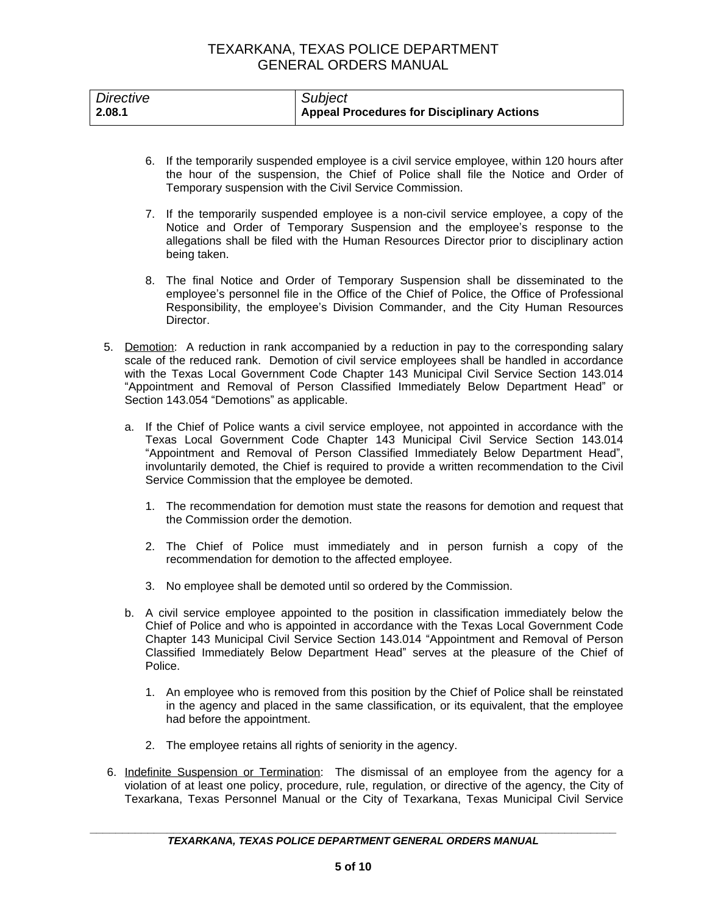| Directive | Subject                                           |
|-----------|---------------------------------------------------|
| 2.08.1    | <b>Appeal Procedures for Disciplinary Actions</b> |

- 6. If the temporarily suspended employee is a civil service employee, within 120 hours after the hour of the suspension, the Chief of Police shall file the Notice and Order of Temporary suspension with the Civil Service Commission.
- 7. If the temporarily suspended employee is a non-civil service employee, a copy of the Notice and Order of Temporary Suspension and the employee's response to the allegations shall be filed with the Human Resources Director prior to disciplinary action being taken.
- 8. The final Notice and Order of Temporary Suspension shall be disseminated to the employee's personnel file in the Office of the Chief of Police, the Office of Professional Responsibility, the employee's Division Commander, and the City Human Resources Director.
- 5. Demotion: A reduction in rank accompanied by a reduction in pay to the corresponding salary scale of the reduced rank. Demotion of civil service employees shall be handled in accordance with the Texas Local Government Code Chapter 143 Municipal Civil Service Section 143.014 "Appointment and Removal of Person Classified Immediately Below Department Head" or Section 143.054 "Demotions" as applicable.
	- a. If the Chief of Police wants a civil service employee, not appointed in accordance with the Texas Local Government Code Chapter 143 Municipal Civil Service Section 143.014 "Appointment and Removal of Person Classified Immediately Below Department Head", involuntarily demoted, the Chief is required to provide a written recommendation to the Civil Service Commission that the employee be demoted.
		- 1. The recommendation for demotion must state the reasons for demotion and request that the Commission order the demotion.
		- 2. The Chief of Police must immediately and in person furnish a copy of the recommendation for demotion to the affected employee.
		- 3. No employee shall be demoted until so ordered by the Commission.
	- b. A civil service employee appointed to the position in classification immediately below the Chief of Police and who is appointed in accordance with the Texas Local Government Code Chapter 143 Municipal Civil Service Section 143.014 "Appointment and Removal of Person Classified Immediately Below Department Head" serves at the pleasure of the Chief of Police.
		- 1. An employee who is removed from this position by the Chief of Police shall be reinstated in the agency and placed in the same classification, or its equivalent, that the employee had before the appointment.
		- 2. The employee retains all rights of seniority in the agency.
- 6. Indefinite Suspension or Termination: The dismissal of an employee from the agency for a violation of at least one policy, procedure, rule, regulation, or directive of the agency, the City of Texarkana, Texas Personnel Manual or the City of Texarkana, Texas Municipal Civil Service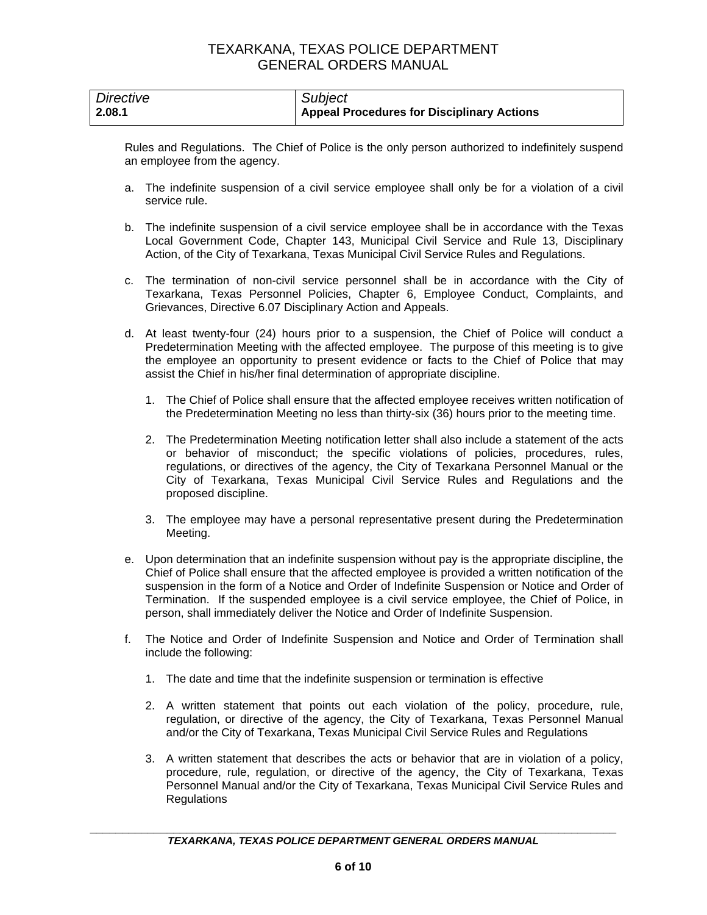| Directive | Subject                                           |
|-----------|---------------------------------------------------|
| 2.08.1    | <b>Appeal Procedures for Disciplinary Actions</b> |

Rules and Regulations. The Chief of Police is the only person authorized to indefinitely suspend an employee from the agency.

- a. The indefinite suspension of a civil service employee shall only be for a violation of a civil service rule.
- b. The indefinite suspension of a civil service employee shall be in accordance with the Texas Local Government Code, Chapter 143, Municipal Civil Service and Rule 13, Disciplinary Action, of the City of Texarkana, Texas Municipal Civil Service Rules and Regulations.
- c. The termination of non-civil service personnel shall be in accordance with the City of Texarkana, Texas Personnel Policies, Chapter 6, Employee Conduct, Complaints, and Grievances, Directive 6.07 Disciplinary Action and Appeals.
- d. At least twenty-four (24) hours prior to a suspension, the Chief of Police will conduct a Predetermination Meeting with the affected employee. The purpose of this meeting is to give the employee an opportunity to present evidence or facts to the Chief of Police that may assist the Chief in his/her final determination of appropriate discipline.
	- 1. The Chief of Police shall ensure that the affected employee receives written notification of the Predetermination Meeting no less than thirty-six (36) hours prior to the meeting time.
	- 2. The Predetermination Meeting notification letter shall also include a statement of the acts or behavior of misconduct; the specific violations of policies, procedures, rules, regulations, or directives of the agency, the City of Texarkana Personnel Manual or the City of Texarkana, Texas Municipal Civil Service Rules and Regulations and the proposed discipline.
	- 3. The employee may have a personal representative present during the Predetermination Meeting.
- e. Upon determination that an indefinite suspension without pay is the appropriate discipline, the Chief of Police shall ensure that the affected employee is provided a written notification of the suspension in the form of a Notice and Order of Indefinite Suspension or Notice and Order of Termination. If the suspended employee is a civil service employee, the Chief of Police, in person, shall immediately deliver the Notice and Order of Indefinite Suspension.
- f. The Notice and Order of Indefinite Suspension and Notice and Order of Termination shall include the following:
	- 1. The date and time that the indefinite suspension or termination is effective
	- 2. A written statement that points out each violation of the policy, procedure, rule, regulation, or directive of the agency, the City of Texarkana, Texas Personnel Manual and/or the City of Texarkana, Texas Municipal Civil Service Rules and Regulations
	- 3. A written statement that describes the acts or behavior that are in violation of a policy, procedure, rule, regulation, or directive of the agency, the City of Texarkana, Texas Personnel Manual and/or the City of Texarkana, Texas Municipal Civil Service Rules and **Regulations**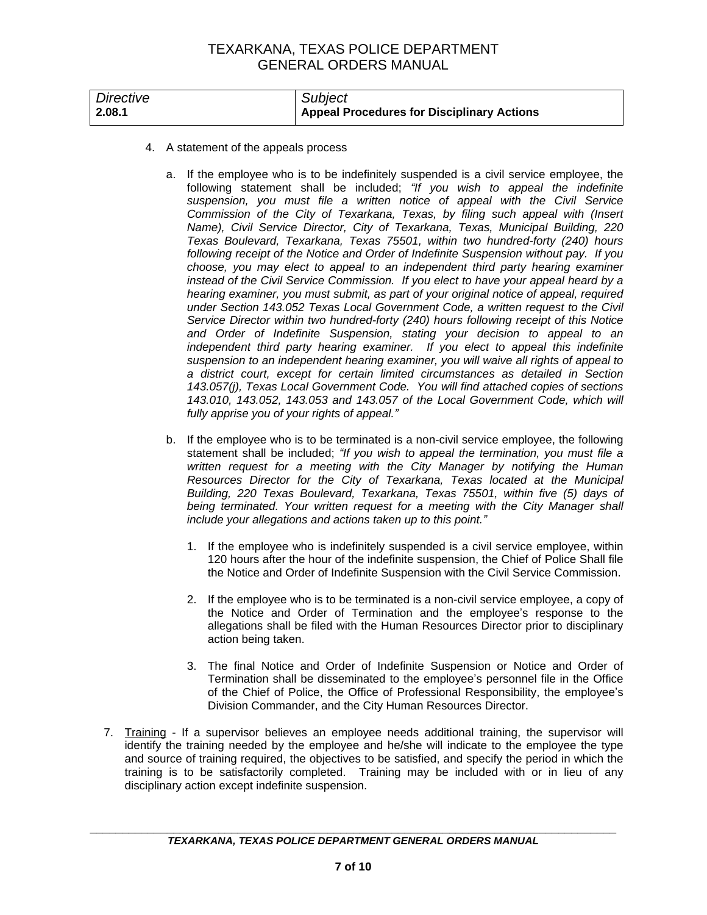| Directive | Subject                                           |
|-----------|---------------------------------------------------|
| 2.08.1    | <b>Appeal Procedures for Disciplinary Actions</b> |

- 4. A statement of the appeals process
	- a. If the employee who is to be indefinitely suspended is a civil service employee, the following statement shall be included; *"If you wish to appeal the indefinite suspension, you must file a written notice of appeal with the Civil Service Commission of the City of Texarkana, Texas, by filing such appeal with (Insert Name), Civil Service Director, City of Texarkana, Texas, Municipal Building, 220 Texas Boulevard, Texarkana, Texas 75501, within two hundred-forty (240) hours following receipt of the Notice and Order of Indefinite Suspension without pay. If you choose, you may elect to appeal to an independent third party hearing examiner instead of the Civil Service Commission. If you elect to have your appeal heard by a hearing examiner, you must submit, as part of your original notice of appeal, required under Section 143.052 Texas Local Government Code, a written request to the Civil Service Director within two hundred-forty (240) hours following receipt of this Notice and Order of Indefinite Suspension, stating your decision to appeal to an independent third party hearing examiner. If you elect to appeal this indefinite suspension to an independent hearing examiner, you will waive all rights of appeal to a district court, except for certain limited circumstances as detailed in Section 143.057(j), Texas Local Government Code. You will find attached copies of sections 143.010, 143.052, 143.053 and 143.057 of the Local Government Code, which will fully apprise you of your rights of appeal."*
	- b. If the employee who is to be terminated is a non-civil service employee, the following statement shall be included; *"If you wish to appeal the termination, you must file a written request for a meeting with the City Manager by notifying the Human Resources Director for the City of Texarkana, Texas located at the Municipal Building, 220 Texas Boulevard, Texarkana, Texas 75501, within five (5) days of being terminated. Your written request for a meeting with the City Manager shall include your allegations and actions taken up to this point."*
		- 1. If the employee who is indefinitely suspended is a civil service employee, within 120 hours after the hour of the indefinite suspension, the Chief of Police Shall file the Notice and Order of Indefinite Suspension with the Civil Service Commission.
		- 2. If the employee who is to be terminated is a non-civil service employee, a copy of the Notice and Order of Termination and the employee's response to the allegations shall be filed with the Human Resources Director prior to disciplinary action being taken.
		- 3. The final Notice and Order of Indefinite Suspension or Notice and Order of Termination shall be disseminated to the employee's personnel file in the Office of the Chief of Police, the Office of Professional Responsibility, the employee's Division Commander, and the City Human Resources Director.
- 7. Training If a supervisor believes an employee needs additional training, the supervisor will identify the training needed by the employee and he/she will indicate to the employee the type and source of training required, the objectives to be satisfied, and specify the period in which the training is to be satisfactorily completed. Training may be included with or in lieu of any disciplinary action except indefinite suspension.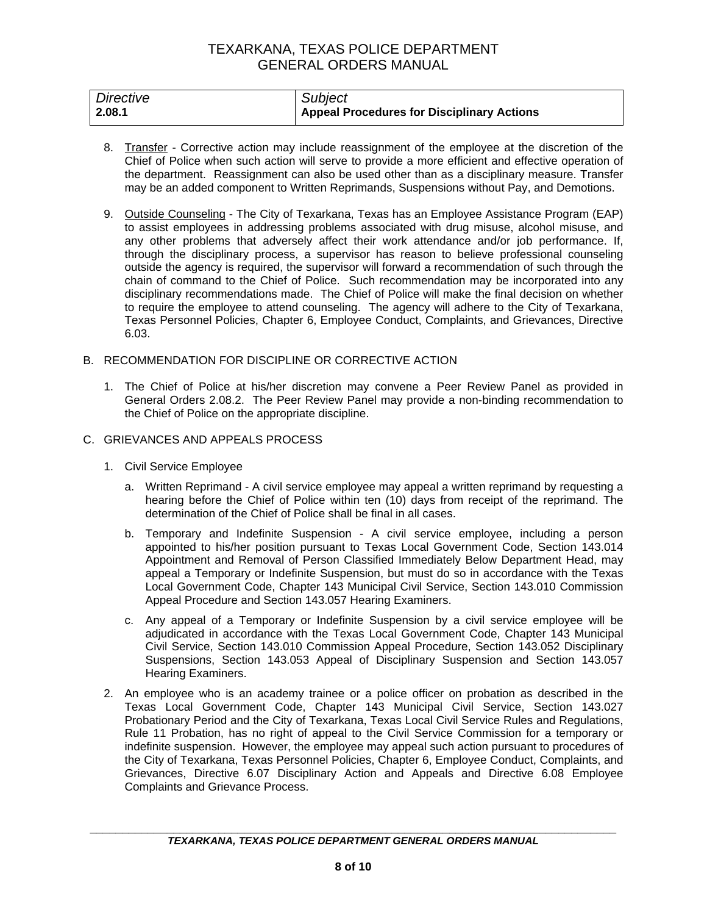| Directive | Subject                                    |
|-----------|--------------------------------------------|
| 2.08.1    | Appeal Procedures for Disciplinary Actions |

- 8. Transfer Corrective action may include reassignment of the employee at the discretion of the Chief of Police when such action will serve to provide a more efficient and effective operation of the department. Reassignment can also be used other than as a disciplinary measure. Transfer may be an added component to Written Reprimands, Suspensions without Pay, and Demotions.
- 9. Outside Counseling The City of Texarkana, Texas has an Employee Assistance Program (EAP) to assist employees in addressing problems associated with drug misuse, alcohol misuse, and any other problems that adversely affect their work attendance and/or job performance. If, through the disciplinary process, a supervisor has reason to believe professional counseling outside the agency is required, the supervisor will forward a recommendation of such through the chain of command to the Chief of Police. Such recommendation may be incorporated into any disciplinary recommendations made. The Chief of Police will make the final decision on whether to require the employee to attend counseling. The agency will adhere to the City of Texarkana, Texas Personnel Policies, Chapter 6, Employee Conduct, Complaints, and Grievances, Directive 6.03.

#### B. RECOMMENDATION FOR DISCIPLINE OR CORRECTIVE ACTION

1. The Chief of Police at his/her discretion may convene a Peer Review Panel as provided in General Orders 2.08.2. The Peer Review Panel may provide a non-binding recommendation to the Chief of Police on the appropriate discipline.

#### C. GRIEVANCES AND APPEALS PROCESS

- 1. Civil Service Employee
	- a. Written Reprimand A civil service employee may appeal a written reprimand by requesting a hearing before the Chief of Police within ten (10) days from receipt of the reprimand. The determination of the Chief of Police shall be final in all cases.
	- b. Temporary and Indefinite Suspension A civil service employee, including a person appointed to his/her position pursuant to Texas Local Government Code, Section 143.014 Appointment and Removal of Person Classified Immediately Below Department Head, may appeal a Temporary or Indefinite Suspension, but must do so in accordance with the Texas Local Government Code, Chapter 143 Municipal Civil Service, Section 143.010 Commission Appeal Procedure and Section 143.057 Hearing Examiners.
	- c. Any appeal of a Temporary or Indefinite Suspension by a civil service employee will be adjudicated in accordance with the Texas Local Government Code, Chapter 143 Municipal Civil Service, Section 143.010 Commission Appeal Procedure, Section 143.052 Disciplinary Suspensions, Section 143.053 Appeal of Disciplinary Suspension and Section 143.057 Hearing Examiners.
- 2. An employee who is an academy trainee or a police officer on probation as described in the Texas Local Government Code, Chapter 143 Municipal Civil Service, Section 143.027 Probationary Period and the City of Texarkana, Texas Local Civil Service Rules and Regulations, Rule 11 Probation, has no right of appeal to the Civil Service Commission for a temporary or indefinite suspension. However, the employee may appeal such action pursuant to procedures of the City of Texarkana, Texas Personnel Policies, Chapter 6, Employee Conduct, Complaints, and Grievances, Directive 6.07 Disciplinary Action and Appeals and Directive 6.08 Employee Complaints and Grievance Process.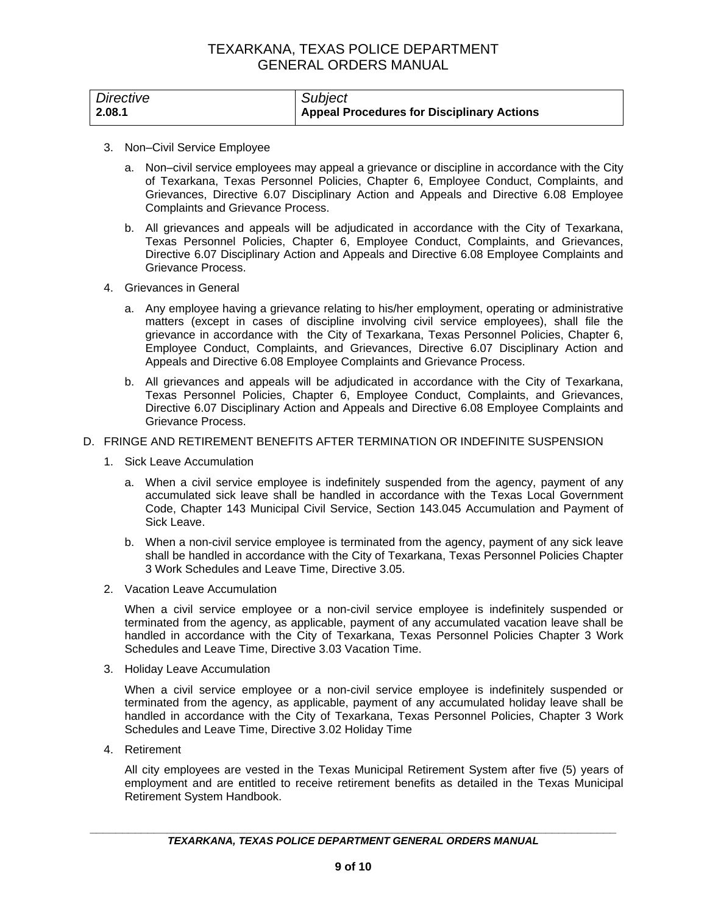| Directive | Subject                                           |
|-----------|---------------------------------------------------|
| 2.08.1    | <b>Appeal Procedures for Disciplinary Actions</b> |

- 3. Non–Civil Service Employee
	- a. Non–civil service employees may appeal a grievance or discipline in accordance with the City of Texarkana, Texas Personnel Policies, Chapter 6, Employee Conduct, Complaints, and Grievances, Directive 6.07 Disciplinary Action and Appeals and Directive 6.08 Employee Complaints and Grievance Process.
	- b. All grievances and appeals will be adjudicated in accordance with the City of Texarkana, Texas Personnel Policies, Chapter 6, Employee Conduct, Complaints, and Grievances, Directive 6.07 Disciplinary Action and Appeals and Directive 6.08 Employee Complaints and Grievance Process.
- 4. Grievances in General
	- a. Any employee having a grievance relating to his/her employment, operating or administrative matters (except in cases of discipline involving civil service employees), shall file the grievance in accordance with the City of Texarkana, Texas Personnel Policies, Chapter 6, Employee Conduct, Complaints, and Grievances, Directive 6.07 Disciplinary Action and Appeals and Directive 6.08 Employee Complaints and Grievance Process.
	- b. All grievances and appeals will be adjudicated in accordance with the City of Texarkana, Texas Personnel Policies, Chapter 6, Employee Conduct, Complaints, and Grievances, Directive 6.07 Disciplinary Action and Appeals and Directive 6.08 Employee Complaints and Grievance Process.
- D. FRINGE AND RETIREMENT BENEFITS AFTER TERMINATION OR INDEFINITE SUSPENSION
	- 1. Sick Leave Accumulation
		- a. When a civil service employee is indefinitely suspended from the agency, payment of any accumulated sick leave shall be handled in accordance with the Texas Local Government Code, Chapter 143 Municipal Civil Service, Section 143.045 Accumulation and Payment of Sick Leave.
		- b. When a non-civil service employee is terminated from the agency, payment of any sick leave shall be handled in accordance with the City of Texarkana, Texas Personnel Policies Chapter 3 Work Schedules and Leave Time, Directive 3.05.
	- 2. Vacation Leave Accumulation

When a civil service employee or a non-civil service employee is indefinitely suspended or terminated from the agency, as applicable, payment of any accumulated vacation leave shall be handled in accordance with the City of Texarkana, Texas Personnel Policies Chapter 3 Work Schedules and Leave Time, Directive 3.03 Vacation Time.

3. Holiday Leave Accumulation

When a civil service employee or a non-civil service employee is indefinitely suspended or terminated from the agency, as applicable, payment of any accumulated holiday leave shall be handled in accordance with the City of Texarkana, Texas Personnel Policies, Chapter 3 Work Schedules and Leave Time, Directive 3.02 Holiday Time

4. Retirement

All city employees are vested in the Texas Municipal Retirement System after five (5) years of employment and are entitled to receive retirement benefits as detailed in the Texas Municipal Retirement System Handbook.